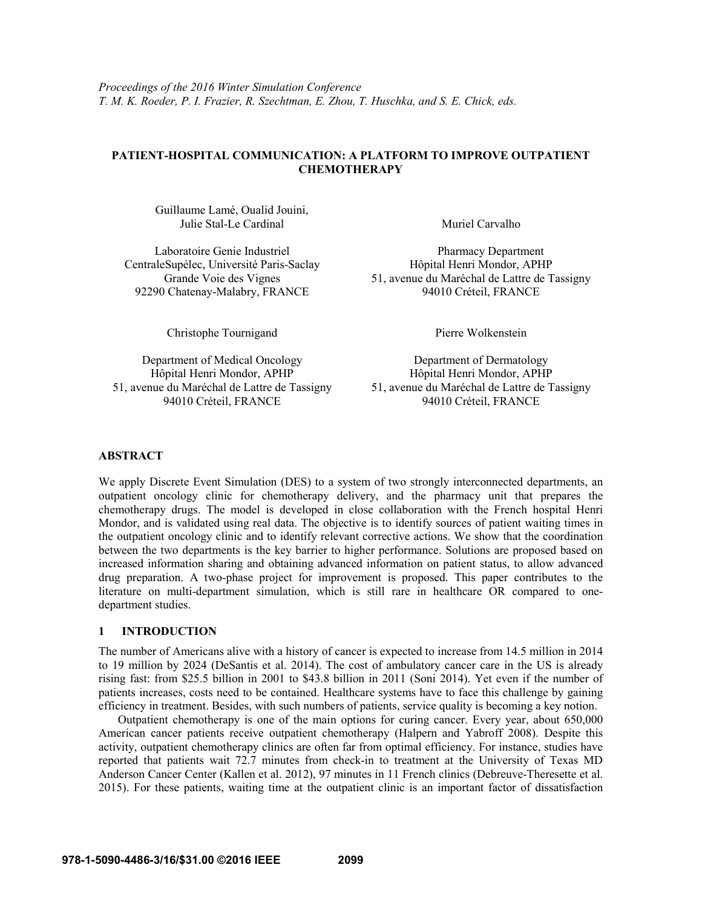# **PATIENT-HOSPITAL COMMUNICATION: A PLATFORM TO IMPROVE OUTPATIENT CHEMOTHERAPY**

Guillaume Lamé, Oualid Jouini, Julie Stal-Le Cardinal Muriel Carvalho

CentraleSupélec, Université Paris-Saclay Grande Voie des Vignes 92290 Chatenay-Malabry, FRANCE

Laboratoire Genie Industriel Pharmacy Department Hôpital Henri Mondor, APHP 51, avenue du Maréchal de Lattre de Tassigny

Christophe Tournigand Pierre Wolkenstein

Hôpital Henri Mondor, APHP 51, avenue du Maréchal de Lattre de Tassigny 94010 Créteil, FRANCE

Department of Medical Oncology Department of Dermatology Hôpital Henri Mondor, APHP 51, avenue du Maréchal de Lattre de Tassigny

## **ABSTRACT**

We apply Discrete Event Simulation (DES) to a system of two strongly interconnected departments, an outpatient oncology clinic for chemotherapy delivery, and the pharmacy unit that prepares the chemotherapy drugs. The model is developed in close collaboration with the French hospital Henri Mondor, and is validated using real data. The objective is to identify sources of patient waiting times in the outpatient oncology clinic and to identify relevant corrective actions. We show that the coordination between the two departments is the key barrier to higher performance. Solutions are proposed based on increased information sharing and obtaining advanced information on patient status, to allow advanced drug preparation. A two-phase project for improvement is proposed. This paper contributes to the literature on multi-department simulation, which is still rare in healthcare OR compared to onedepartment studies.

## **1 INTRODUCTION**

The number of Americans alive with a history of cancer is expected to increase from 14.5 million in 2014 to 19 million by 2024 (DeSantis et al. 2014). The cost of ambulatory cancer care in the US is already rising fast: from \$25.5 billion in 2001 to \$43.8 billion in 2011 (Soni 2014). Yet even if the number of patients increases, costs need to be contained. Healthcare systems have to face this challenge by gaining efficiency in treatment. Besides, with such numbers of patients, service quality is becoming a key notion.

Outpatient chemotherapy is one of the main options for curing cancer. Every year, about 650,000 American cancer patients receive outpatient chemotherapy (Halpern and Yabroff 2008). Despite this activity, outpatient chemotherapy clinics are often far from optimal efficiency. For instance, studies have reported that patients wait 72.7 minutes from check-in to treatment at the University of Texas MD Anderson Cancer Center (Kallen et al. 2012), 97 minutes in 11 French clinics (Debreuve-Theresette et al. 2015). For these patients, waiting time at the outpatient clinic is an important factor of dissatisfaction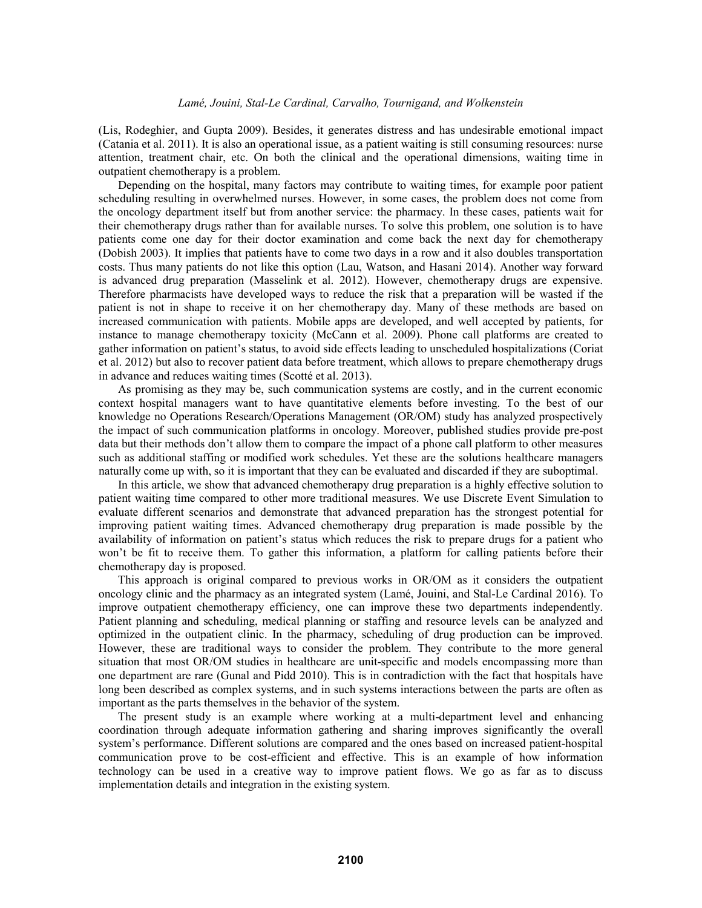(Lis, Rodeghier, and Gupta 2009). Besides, it generates distress and has undesirable emotional impact (Catania et al. 2011). It is also an operational issue, as a patient waiting is still consuming resources: nurse attention, treatment chair, etc. On both the clinical and the operational dimensions, waiting time in outpatient chemotherapy is a problem.

Depending on the hospital, many factors may contribute to waiting times, for example poor patient scheduling resulting in overwhelmed nurses. However, in some cases, the problem does not come from the oncology department itself but from another service: the pharmacy. In these cases, patients wait for their chemotherapy drugs rather than for available nurses. To solve this problem, one solution is to have patients come one day for their doctor examination and come back the next day for chemotherapy (Dobish 2003). It implies that patients have to come two days in a row and it also doubles transportation costs. Thus many patients do not like this option (Lau, Watson, and Hasani 2014). Another way forward is advanced drug preparation (Masselink et al. 2012). However, chemotherapy drugs are expensive. Therefore pharmacists have developed ways to reduce the risk that a preparation will be wasted if the patient is not in shape to receive it on her chemotherapy day. Many of these methods are based on increased communication with patients. Mobile apps are developed, and well accepted by patients, for instance to manage chemotherapy toxicity (McCann et al. 2009). Phone call platforms are created to gather information on patient's status, to avoid side effects leading to unscheduled hospitalizations (Coriat et al. 2012) but also to recover patient data before treatment, which allows to prepare chemotherapy drugs in advance and reduces waiting times (Scotté et al. 2013).

As promising as they may be, such communication systems are costly, and in the current economic context hospital managers want to have quantitative elements before investing. To the best of our knowledge no Operations Research/Operations Management (OR/OM) study has analyzed prospectively the impact of such communication platforms in oncology. Moreover, published studies provide pre-post data but their methods don't allow them to compare the impact of a phone call platform to other measures such as additional staffing or modified work schedules. Yet these are the solutions healthcare managers naturally come up with, so it is important that they can be evaluated and discarded if they are suboptimal.

In this article, we show that advanced chemotherapy drug preparation is a highly effective solution to patient waiting time compared to other more traditional measures. We use Discrete Event Simulation to evaluate different scenarios and demonstrate that advanced preparation has the strongest potential for improving patient waiting times. Advanced chemotherapy drug preparation is made possible by the availability of information on patient's status which reduces the risk to prepare drugs for a patient who won't be fit to receive them. To gather this information, a platform for calling patients before their chemotherapy day is proposed.

This approach is original compared to previous works in OR/OM as it considers the outpatient oncology clinic and the pharmacy as an integrated system (Lamé, Jouini, and Stal-Le Cardinal 2016). To improve outpatient chemotherapy efficiency, one can improve these two departments independently. Patient planning and scheduling, medical planning or staffing and resource levels can be analyzed and optimized in the outpatient clinic. In the pharmacy, scheduling of drug production can be improved. However, these are traditional ways to consider the problem. They contribute to the more general situation that most OR/OM studies in healthcare are unit-specific and models encompassing more than one department are rare (Gunal and Pidd 2010). This is in contradiction with the fact that hospitals have long been described as complex systems, and in such systems interactions between the parts are often as important as the parts themselves in the behavior of the system.

The present study is an example where working at a multi-department level and enhancing coordination through adequate information gathering and sharing improves significantly the overall system's performance. Different solutions are compared and the ones based on increased patient-hospital communication prove to be cost-efficient and effective. This is an example of how information technology can be used in a creative way to improve patient flows. We go as far as to discuss implementation details and integration in the existing system.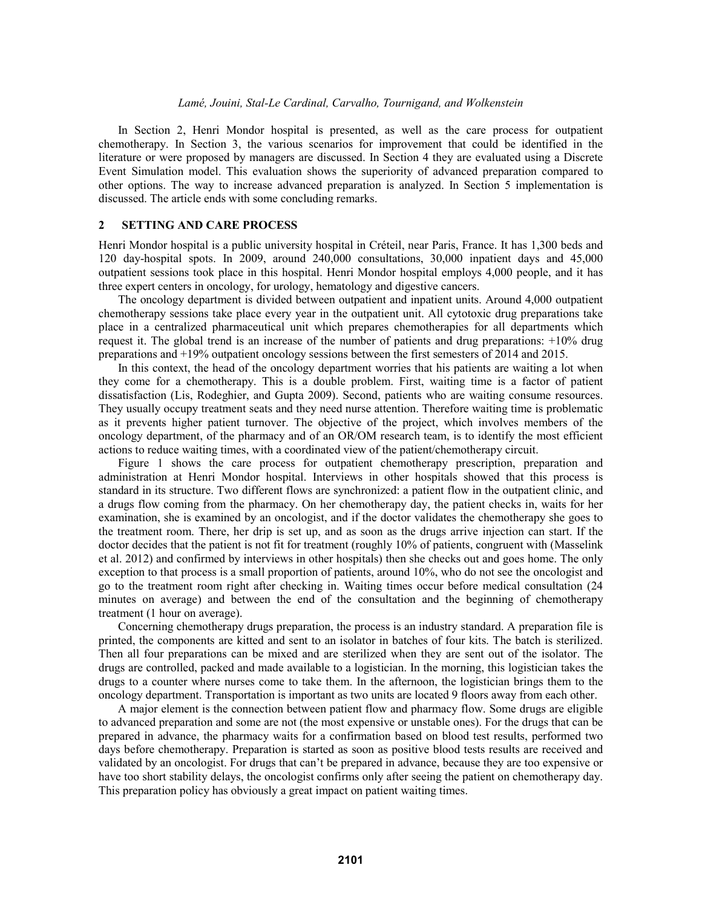In Section 2, Henri Mondor hospital is presented, as well as the care process for outpatient chemotherapy. In Section 3, the various scenarios for improvement that could be identified in the literature or were proposed by managers are discussed. In Section 4 they are evaluated using a Discrete Event Simulation model. This evaluation shows the superiority of advanced preparation compared to other options. The way to increase advanced preparation is analyzed. In Section 5 implementation is discussed. The article ends with some concluding remarks.

### **2 SETTING AND CARE PROCESS**

Henri Mondor hospital is a public university hospital in Créteil, near Paris, France. It has 1,300 beds and 120 day-hospital spots. In 2009, around 240,000 consultations, 30,000 inpatient days and 45,000 outpatient sessions took place in this hospital. Henri Mondor hospital employs 4,000 people, and it has three expert centers in oncology, for urology, hematology and digestive cancers.

The oncology department is divided between outpatient and inpatient units. Around 4,000 outpatient chemotherapy sessions take place every year in the outpatient unit. All cytotoxic drug preparations take place in a centralized pharmaceutical unit which prepares chemotherapies for all departments which request it. The global trend is an increase of the number of patients and drug preparations: +10% drug preparations and +19% outpatient oncology sessions between the first semesters of 2014 and 2015.

In this context, the head of the oncology department worries that his patients are waiting a lot when they come for a chemotherapy. This is a double problem. First, waiting time is a factor of patient dissatisfaction (Lis, Rodeghier, and Gupta 2009). Second, patients who are waiting consume resources. They usually occupy treatment seats and they need nurse attention. Therefore waiting time is problematic as it prevents higher patient turnover. The objective of the project, which involves members of the oncology department, of the pharmacy and of an OR/OM research team, is to identify the most efficient actions to reduce waiting times, with a coordinated view of the patient/chemotherapy circuit.

Figure 1 shows the care process for outpatient chemotherapy prescription, preparation and administration at Henri Mondor hospital. Interviews in other hospitals showed that this process is standard in its structure. Two different flows are synchronized: a patient flow in the outpatient clinic, and a drugs flow coming from the pharmacy. On her chemotherapy day, the patient checks in, waits for her examination, she is examined by an oncologist, and if the doctor validates the chemotherapy she goes to the treatment room. There, her drip is set up, and as soon as the drugs arrive injection can start. If the doctor decides that the patient is not fit for treatment (roughly 10% of patients, congruent with (Masselink et al. 2012) and confirmed by interviews in other hospitals) then she checks out and goes home. The only exception to that process is a small proportion of patients, around 10%, who do not see the oncologist and go to the treatment room right after checking in. Waiting times occur before medical consultation (24 minutes on average) and between the end of the consultation and the beginning of chemotherapy treatment (1 hour on average).

Concerning chemotherapy drugs preparation, the process is an industry standard. A preparation file is printed, the components are kitted and sent to an isolator in batches of four kits. The batch is sterilized. Then all four preparations can be mixed and are sterilized when they are sent out of the isolator. The drugs are controlled, packed and made available to a logistician. In the morning, this logistician takes the drugs to a counter where nurses come to take them. In the afternoon, the logistician brings them to the oncology department. Transportation is important as two units are located 9 floors away from each other.

A major element is the connection between patient flow and pharmacy flow. Some drugs are eligible to advanced preparation and some are not (the most expensive or unstable ones). For the drugs that can be prepared in advance, the pharmacy waits for a confirmation based on blood test results, performed two days before chemotherapy. Preparation is started as soon as positive blood tests results are received and validated by an oncologist. For drugs that can't be prepared in advance, because they are too expensive or have too short stability delays, the oncologist confirms only after seeing the patient on chemotherapy day. This preparation policy has obviously a great impact on patient waiting times.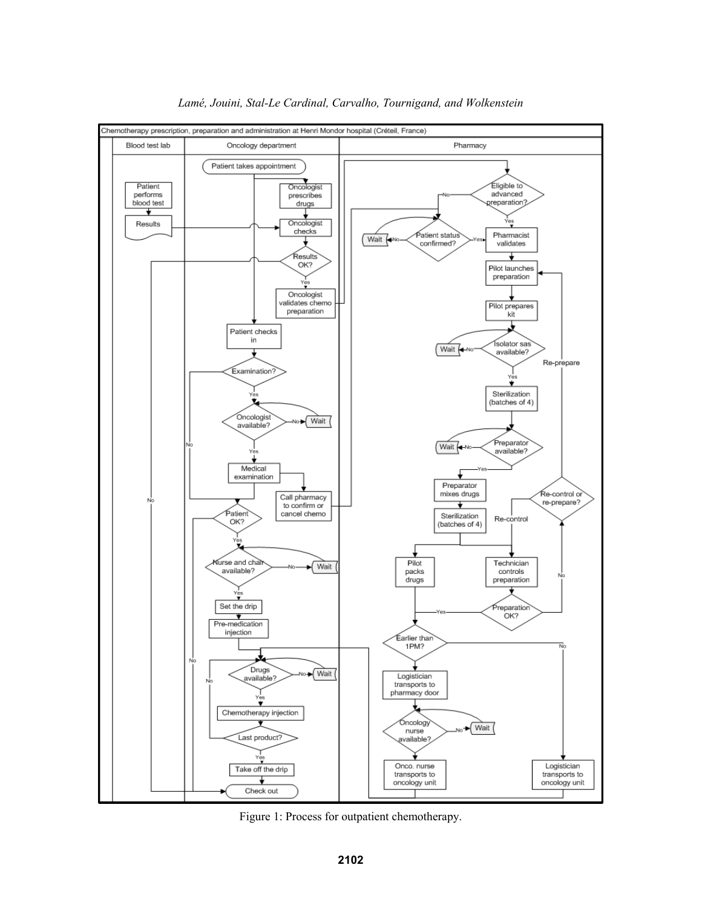

*Lamé, Jouini, Stal-Le Cardinal, Carvalho, Tournigand, and Wolkenstein*

Figure 1: Process for outpatient chemotherapy.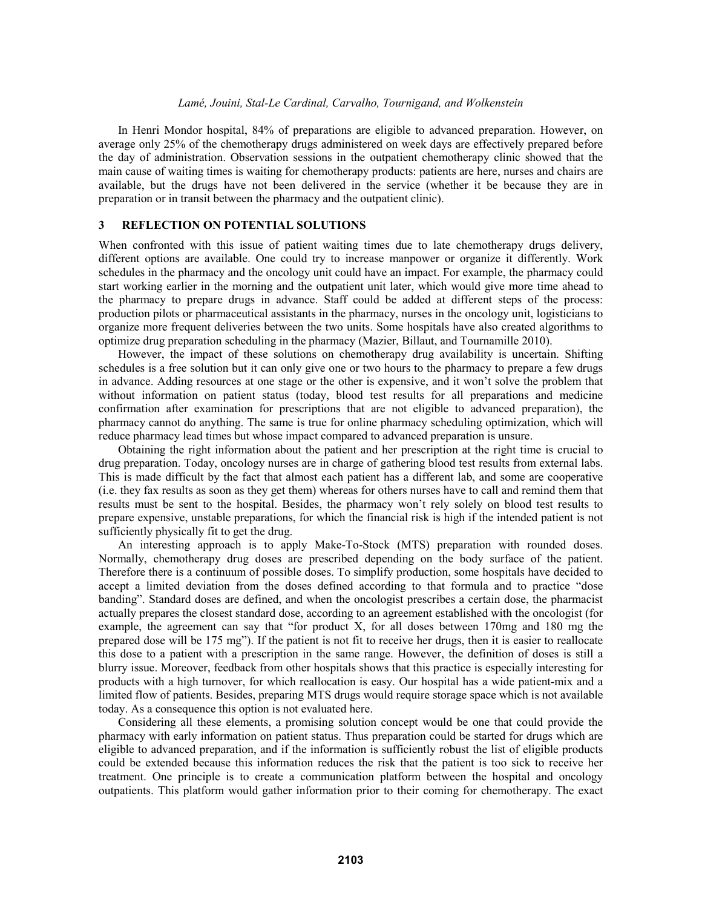In Henri Mondor hospital, 84% of preparations are eligible to advanced preparation. However, on average only 25% of the chemotherapy drugs administered on week days are effectively prepared before the day of administration. Observation sessions in the outpatient chemotherapy clinic showed that the main cause of waiting times is waiting for chemotherapy products: patients are here, nurses and chairs are available, but the drugs have not been delivered in the service (whether it be because they are in preparation or in transit between the pharmacy and the outpatient clinic).

### **3 REFLECTION ON POTENTIAL SOLUTIONS**

When confronted with this issue of patient waiting times due to late chemotherapy drugs delivery, different options are available. One could try to increase manpower or organize it differently. Work schedules in the pharmacy and the oncology unit could have an impact. For example, the pharmacy could start working earlier in the morning and the outpatient unit later, which would give more time ahead to the pharmacy to prepare drugs in advance. Staff could be added at different steps of the process: production pilots or pharmaceutical assistants in the pharmacy, nurses in the oncology unit, logisticians to organize more frequent deliveries between the two units. Some hospitals have also created algorithms to optimize drug preparation scheduling in the pharmacy (Mazier, Billaut, and Tournamille 2010).

However, the impact of these solutions on chemotherapy drug availability is uncertain. Shifting schedules is a free solution but it can only give one or two hours to the pharmacy to prepare a few drugs in advance. Adding resources at one stage or the other is expensive, and it won't solve the problem that without information on patient status (today, blood test results for all preparations and medicine confirmation after examination for prescriptions that are not eligible to advanced preparation), the pharmacy cannot do anything. The same is true for online pharmacy scheduling optimization, which will reduce pharmacy lead times but whose impact compared to advanced preparation is unsure.

Obtaining the right information about the patient and her prescription at the right time is crucial to drug preparation. Today, oncology nurses are in charge of gathering blood test results from external labs. This is made difficult by the fact that almost each patient has a different lab, and some are cooperative (i.e. they fax results as soon as they get them) whereas for others nurses have to call and remind them that results must be sent to the hospital. Besides, the pharmacy won't rely solely on blood test results to prepare expensive, unstable preparations, for which the financial risk is high if the intended patient is not sufficiently physically fit to get the drug.

An interesting approach is to apply Make-To-Stock (MTS) preparation with rounded doses. Normally, chemotherapy drug doses are prescribed depending on the body surface of the patient. Therefore there is a continuum of possible doses. To simplify production, some hospitals have decided to accept a limited deviation from the doses defined according to that formula and to practice "dose banding". Standard doses are defined, and when the oncologist prescribes a certain dose, the pharmacist actually prepares the closest standard dose, according to an agreement established with the oncologist (for example, the agreement can say that "for product X, for all doses between 170mg and 180 mg the prepared dose will be 175 mg"). If the patient is not fit to receive her drugs, then it is easier to reallocate this dose to a patient with a prescription in the same range. However, the definition of doses is still a blurry issue. Moreover, feedback from other hospitals shows that this practice is especially interesting for products with a high turnover, for which reallocation is easy. Our hospital has a wide patient-mix and a limited flow of patients. Besides, preparing MTS drugs would require storage space which is not available today. As a consequence this option is not evaluated here.

 Considering all these elements, a promising solution concept would be one that could provide the pharmacy with early information on patient status. Thus preparation could be started for drugs which are eligible to advanced preparation, and if the information is sufficiently robust the list of eligible products could be extended because this information reduces the risk that the patient is too sick to receive her treatment. One principle is to create a communication platform between the hospital and oncology outpatients. This platform would gather information prior to their coming for chemotherapy. The exact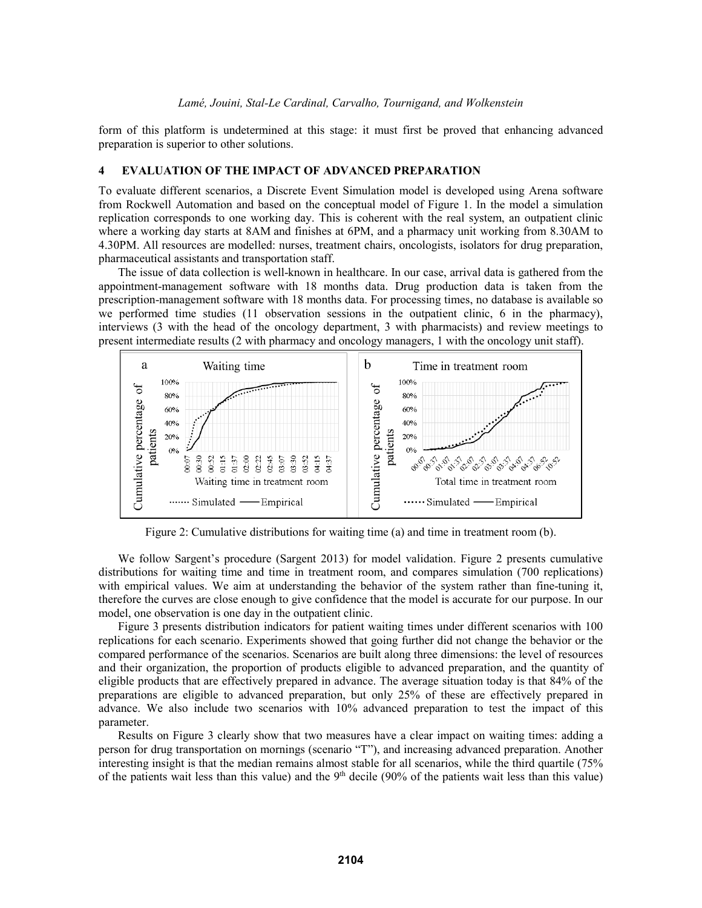form of this platform is undetermined at this stage: it must first be proved that enhancing advanced preparation is superior to other solutions.

# **4 EVALUATION OF THE IMPACT OF ADVANCED PREPARATION**

To evaluate different scenarios, a Discrete Event Simulation model is developed using Arena software from Rockwell Automation and based on the conceptual model of Figure 1. In the model a simulation replication corresponds to one working day. This is coherent with the real system, an outpatient clinic where a working day starts at 8AM and finishes at 6PM, and a pharmacy unit working from 8.30AM to 4.30PM. All resources are modelled: nurses, treatment chairs, oncologists, isolators for drug preparation, pharmaceutical assistants and transportation staff.

The issue of data collection is well-known in healthcare. In our case, arrival data is gathered from the appointment-management software with 18 months data. Drug production data is taken from the prescription-management software with 18 months data. For processing times, no database is available so we performed time studies (11 observation sessions in the outpatient clinic, 6 in the pharmacy), interviews (3 with the head of the oncology department, 3 with pharmacists) and review meetings to present intermediate results (2 with pharmacy and oncology managers, 1 with the oncology unit staff).



Figure 2: Cumulative distributions for waiting time (a) and time in treatment room (b).

We follow Sargent's procedure (Sargent 2013) for model validation. Figure 2 presents cumulative distributions for waiting time and time in treatment room, and compares simulation (700 replications) with empirical values. We aim at understanding the behavior of the system rather than fine-tuning it, therefore the curves are close enough to give confidence that the model is accurate for our purpose. In our model, one observation is one day in the outpatient clinic.

Figure 3 presents distribution indicators for patient waiting times under different scenarios with 100 replications for each scenario. Experiments showed that going further did not change the behavior or the compared performance of the scenarios. Scenarios are built along three dimensions: the level of resources and their organization, the proportion of products eligible to advanced preparation, and the quantity of eligible products that are effectively prepared in advance. The average situation today is that 84% of the preparations are eligible to advanced preparation, but only 25% of these are effectively prepared in advance. We also include two scenarios with 10% advanced preparation to test the impact of this parameter.

Results on Figure 3 clearly show that two measures have a clear impact on waiting times: adding a person for drug transportation on mornings (scenario "T"), and increasing advanced preparation. Another interesting insight is that the median remains almost stable for all scenarios, while the third quartile (75% of the patients wait less than this value) and the  $9<sup>th</sup>$  decile (90% of the patients wait less than this value)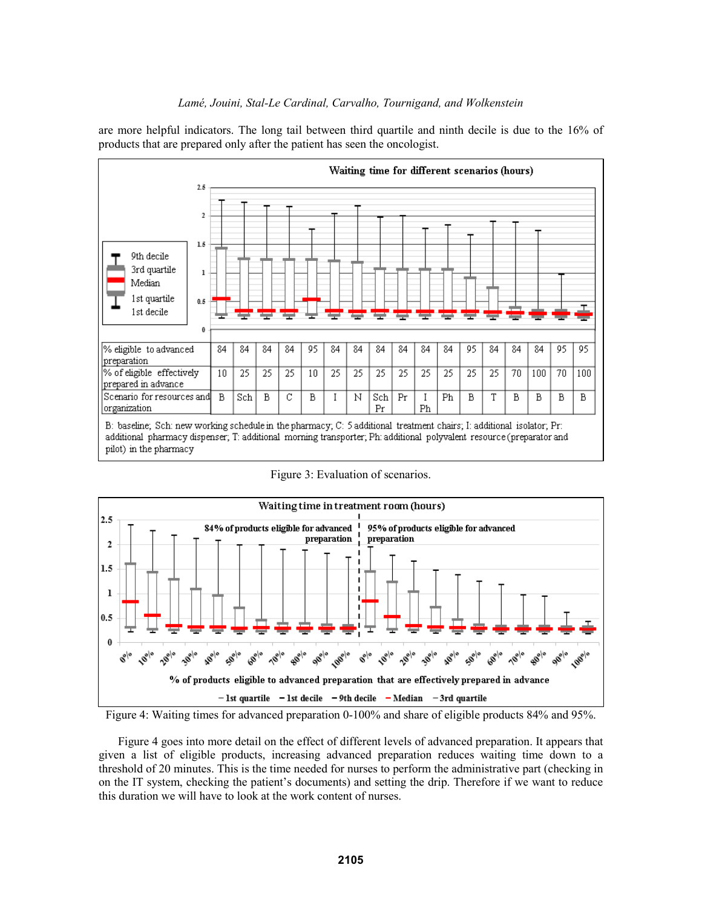are more helpful indicators. The long tail between third quartile and ninth decile is due to the 16% of products that are prepared only after the patient has seen the oncologist.



Figure 3: Evaluation of scenarios.



Figure 4: Waiting times for advanced preparation 0-100% and share of eligible products 84% and 95%.

Figure 4 goes into more detail on the effect of different levels of advanced preparation. It appears that given a list of eligible products, increasing advanced preparation reduces waiting time down to a threshold of 20 minutes. This is the time needed for nurses to perform the administrative part (checking in on the IT system, checking the patient's documents) and setting the drip. Therefore if we want to reduce this duration we will have to look at the work content of nurses.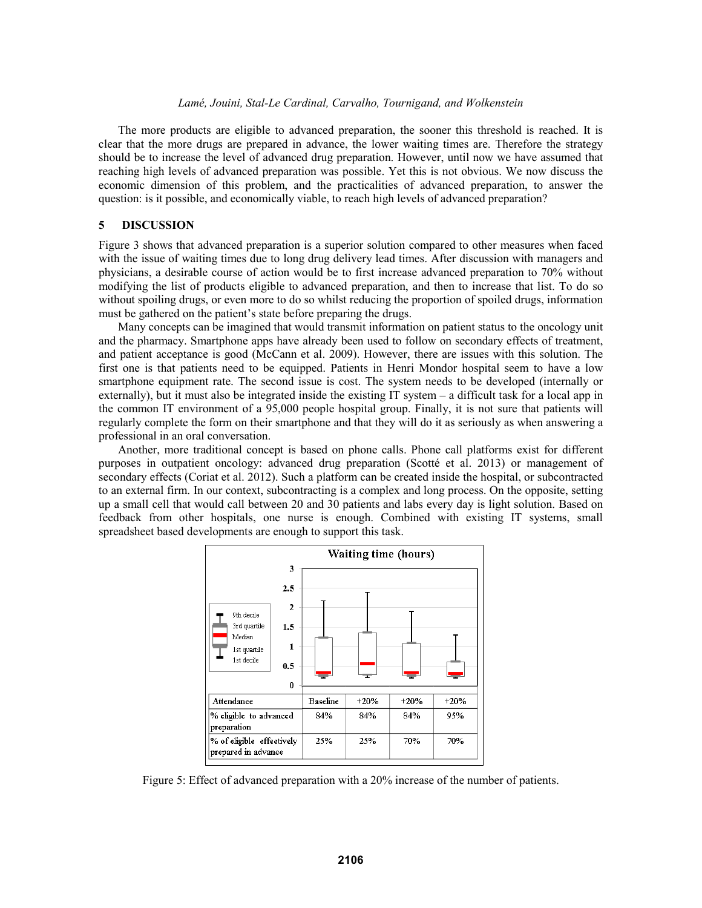The more products are eligible to advanced preparation, the sooner this threshold is reached. It is clear that the more drugs are prepared in advance, the lower waiting times are. Therefore the strategy should be to increase the level of advanced drug preparation. However, until now we have assumed that reaching high levels of advanced preparation was possible. Yet this is not obvious. We now discuss the economic dimension of this problem, and the practicalities of advanced preparation, to answer the question: is it possible, and economically viable, to reach high levels of advanced preparation?

### **5 DISCUSSION**

Figure 3 shows that advanced preparation is a superior solution compared to other measures when faced with the issue of waiting times due to long drug delivery lead times. After discussion with managers and physicians, a desirable course of action would be to first increase advanced preparation to 70% without modifying the list of products eligible to advanced preparation, and then to increase that list. To do so without spoiling drugs, or even more to do so whilst reducing the proportion of spoiled drugs, information must be gathered on the patient's state before preparing the drugs.

 Many concepts can be imagined that would transmit information on patient status to the oncology unit and the pharmacy. Smartphone apps have already been used to follow on secondary effects of treatment, and patient acceptance is good (McCann et al. 2009). However, there are issues with this solution. The first one is that patients need to be equipped. Patients in Henri Mondor hospital seem to have a low smartphone equipment rate. The second issue is cost. The system needs to be developed (internally or externally), but it must also be integrated inside the existing IT system – a difficult task for a local app in the common IT environment of a 95,000 people hospital group. Finally, it is not sure that patients will regularly complete the form on their smartphone and that they will do it as seriously as when answering a professional in an oral conversation.

Another, more traditional concept is based on phone calls. Phone call platforms exist for different purposes in outpatient oncology: advanced drug preparation (Scotté et al. 2013) or management of secondary effects (Coriat et al. 2012). Such a platform can be created inside the hospital, or subcontracted to an external firm. In our context, subcontracting is a complex and long process. On the opposite, setting up a small cell that would call between 20 and 30 patients and labs every day is light solution. Based on feedback from other hospitals, one nurse is enough. Combined with existing IT systems, small spreadsheet based developments are enough to support this task.



Figure 5: Effect of advanced preparation with a 20% increase of the number of patients.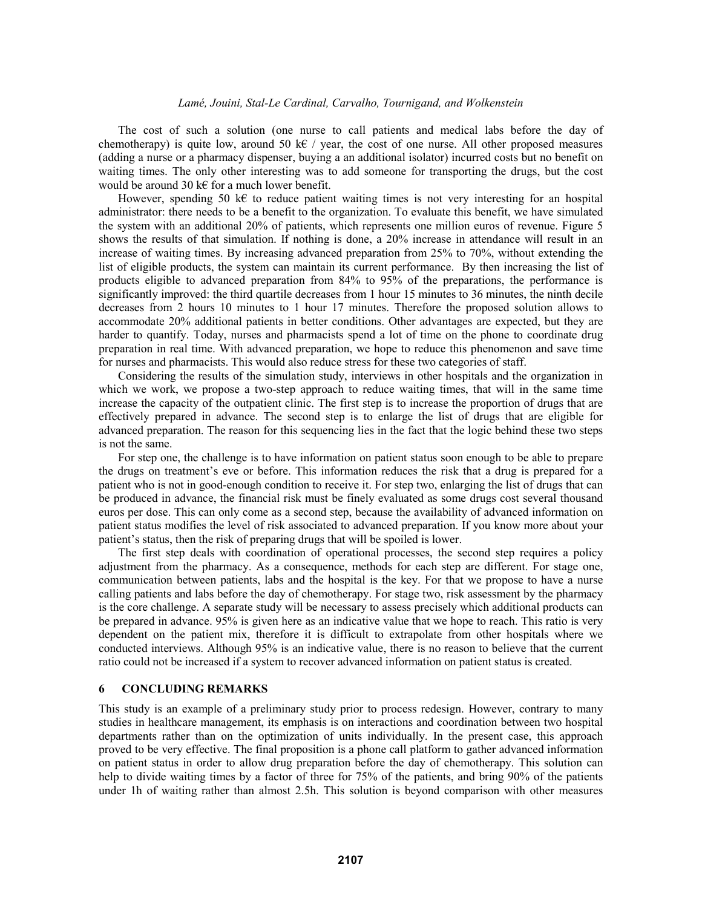The cost of such a solution (one nurse to call patients and medical labs before the day of chemotherapy) is quite low, around 50 k€ / year, the cost of one nurse. All other proposed measures (adding a nurse or a pharmacy dispenser, buying a an additional isolator) incurred costs but no benefit on waiting times. The only other interesting was to add someone for transporting the drugs, but the cost would be around 30 k€ for a much lower benefit.

However, spending 50 k€ to reduce patient waiting times is not very interesting for an hospital administrator: there needs to be a benefit to the organization. To evaluate this benefit, we have simulated the system with an additional 20% of patients, which represents one million euros of revenue. Figure 5 shows the results of that simulation. If nothing is done, a 20% increase in attendance will result in an increase of waiting times. By increasing advanced preparation from 25% to 70%, without extending the list of eligible products, the system can maintain its current performance. By then increasing the list of products eligible to advanced preparation from 84% to 95% of the preparations, the performance is significantly improved: the third quartile decreases from 1 hour 15 minutes to 36 minutes, the ninth decile decreases from 2 hours 10 minutes to 1 hour 17 minutes. Therefore the proposed solution allows to accommodate 20% additional patients in better conditions. Other advantages are expected, but they are harder to quantify. Today, nurses and pharmacists spend a lot of time on the phone to coordinate drug preparation in real time. With advanced preparation, we hope to reduce this phenomenon and save time for nurses and pharmacists. This would also reduce stress for these two categories of staff.

Considering the results of the simulation study, interviews in other hospitals and the organization in which we work, we propose a two-step approach to reduce waiting times, that will in the same time increase the capacity of the outpatient clinic. The first step is to increase the proportion of drugs that are effectively prepared in advance. The second step is to enlarge the list of drugs that are eligible for advanced preparation. The reason for this sequencing lies in the fact that the logic behind these two steps is not the same.

For step one, the challenge is to have information on patient status soon enough to be able to prepare the drugs on treatment's eve or before. This information reduces the risk that a drug is prepared for a patient who is not in good-enough condition to receive it. For step two, enlarging the list of drugs that can be produced in advance, the financial risk must be finely evaluated as some drugs cost several thousand euros per dose. This can only come as a second step, because the availability of advanced information on patient status modifies the level of risk associated to advanced preparation. If you know more about your patient's status, then the risk of preparing drugs that will be spoiled is lower.

The first step deals with coordination of operational processes, the second step requires a policy adjustment from the pharmacy. As a consequence, methods for each step are different. For stage one, communication between patients, labs and the hospital is the key. For that we propose to have a nurse calling patients and labs before the day of chemotherapy. For stage two, risk assessment by the pharmacy is the core challenge. A separate study will be necessary to assess precisely which additional products can be prepared in advance. 95% is given here as an indicative value that we hope to reach. This ratio is very dependent on the patient mix, therefore it is difficult to extrapolate from other hospitals where we conducted interviews. Although 95% is an indicative value, there is no reason to believe that the current ratio could not be increased if a system to recover advanced information on patient status is created.

## **6 CONCLUDING REMARKS**

This study is an example of a preliminary study prior to process redesign. However, contrary to many studies in healthcare management, its emphasis is on interactions and coordination between two hospital departments rather than on the optimization of units individually. In the present case, this approach proved to be very effective. The final proposition is a phone call platform to gather advanced information on patient status in order to allow drug preparation before the day of chemotherapy. This solution can help to divide waiting times by a factor of three for 75% of the patients, and bring 90% of the patients under 1h of waiting rather than almost 2.5h. This solution is beyond comparison with other measures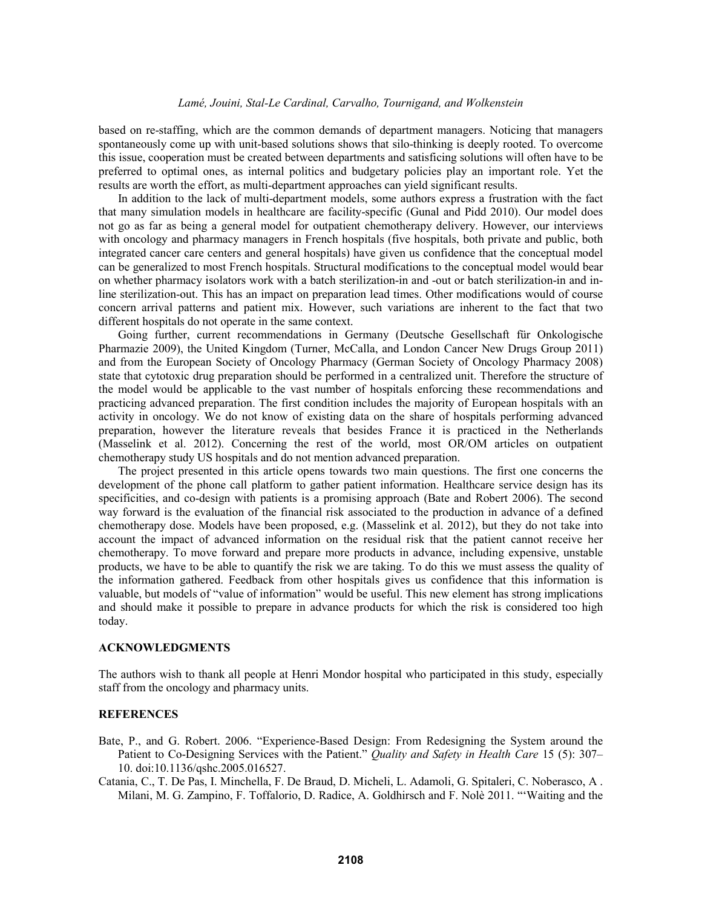based on re-staffing, which are the common demands of department managers. Noticing that managers spontaneously come up with unit-based solutions shows that silo-thinking is deeply rooted. To overcome this issue, cooperation must be created between departments and satisficing solutions will often have to be preferred to optimal ones, as internal politics and budgetary policies play an important role. Yet the results are worth the effort, as multi-department approaches can yield significant results.

In addition to the lack of multi-department models, some authors express a frustration with the fact that many simulation models in healthcare are facility-specific (Gunal and Pidd 2010). Our model does not go as far as being a general model for outpatient chemotherapy delivery. However, our interviews with oncology and pharmacy managers in French hospitals (five hospitals, both private and public, both integrated cancer care centers and general hospitals) have given us confidence that the conceptual model can be generalized to most French hospitals. Structural modifications to the conceptual model would bear on whether pharmacy isolators work with a batch sterilization-in and -out or batch sterilization-in and inline sterilization-out. This has an impact on preparation lead times. Other modifications would of course concern arrival patterns and patient mix. However, such variations are inherent to the fact that two different hospitals do not operate in the same context.

Going further, current recommendations in Germany (Deutsche Gesellschaft für Onkologische Pharmazie 2009), the United Kingdom (Turner, McCalla, and London Cancer New Drugs Group 2011) and from the European Society of Oncology Pharmacy (German Society of Oncology Pharmacy 2008) state that cytotoxic drug preparation should be performed in a centralized unit. Therefore the structure of the model would be applicable to the vast number of hospitals enforcing these recommendations and practicing advanced preparation. The first condition includes the majority of European hospitals with an activity in oncology. We do not know of existing data on the share of hospitals performing advanced preparation, however the literature reveals that besides France it is practiced in the Netherlands (Masselink et al. 2012). Concerning the rest of the world, most OR/OM articles on outpatient chemotherapy study US hospitals and do not mention advanced preparation.

The project presented in this article opens towards two main questions. The first one concerns the development of the phone call platform to gather patient information. Healthcare service design has its specificities, and co-design with patients is a promising approach (Bate and Robert 2006). The second way forward is the evaluation of the financial risk associated to the production in advance of a defined chemotherapy dose. Models have been proposed, e.g. (Masselink et al. 2012), but they do not take into account the impact of advanced information on the residual risk that the patient cannot receive her chemotherapy. To move forward and prepare more products in advance, including expensive, unstable products, we have to be able to quantify the risk we are taking. To do this we must assess the quality of the information gathered. Feedback from other hospitals gives us confidence that this information is valuable, but models of "value of information" would be useful. This new element has strong implications and should make it possible to prepare in advance products for which the risk is considered too high today.

#### **ACKNOWLEDGMENTS**

The authors wish to thank all people at Henri Mondor hospital who participated in this study, especially staff from the oncology and pharmacy units.

### **REFERENCES**

- Bate, P., and G. Robert. 2006. "Experience-Based Design: From Redesigning the System around the Patient to Co-Designing Services with the Patient." *Quality and Safety in Health Care* 15 (5): 307– 10. doi:10.1136/qshc.2005.016527.
- Catania, C., T. De Pas, I. Minchella, F. De Braud, D. Micheli, L. Adamoli, G. Spitaleri, C. Noberasco, A . Milani, M. G. Zampino, F. Toffalorio, D. Radice, A. Goldhirsch and F. Nolè 2011. "'Waiting and the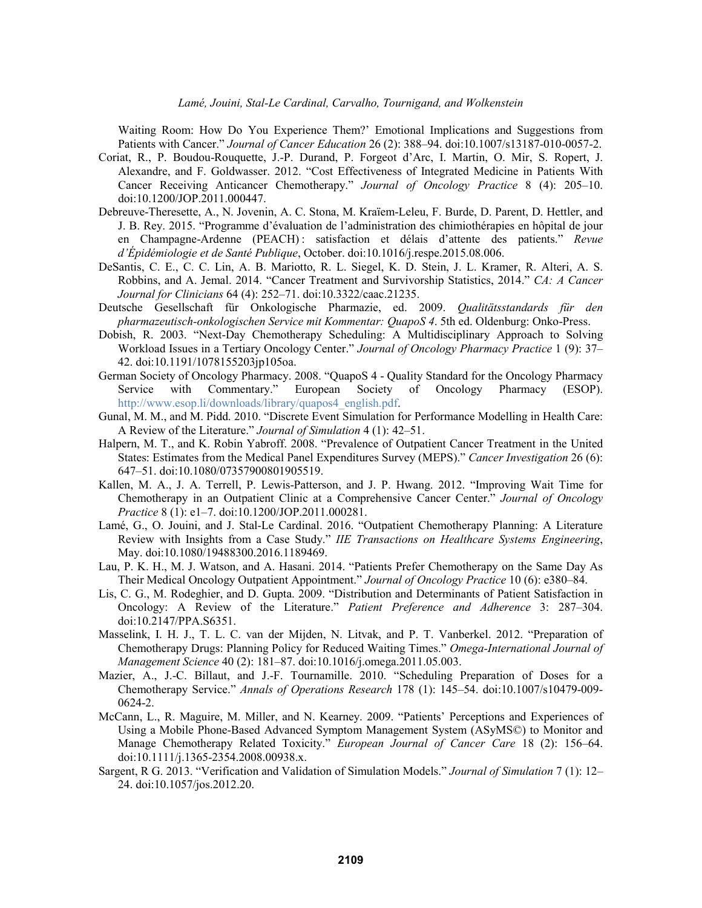Waiting Room: How Do You Experience Them?' Emotional Implications and Suggestions from Patients with Cancer." *Journal of Cancer Education* 26 (2): 388–94. doi:10.1007/s13187-010-0057-2.

- Coriat, R., P. Boudou-Rouquette, J.-P. Durand, P. Forgeot d'Arc, I. Martin, O. Mir, S. Ropert, J. Alexandre, and F. Goldwasser. 2012. "Cost Effectiveness of Integrated Medicine in Patients With Cancer Receiving Anticancer Chemotherapy." *Journal of Oncology Practice* 8 (4): 205–10. doi:10.1200/JOP.2011.000447.
- Debreuve-Theresette, A., N. Jovenin, A. C. Stona, M. Kraïem-Leleu, F. Burde, D. Parent, D. Hettler, and J. B. Rey. 2015. "Programme d'évaluation de l'administration des chimiothérapies en hôpital de jour en Champagne-Ardenne (PEACH) : satisfaction et délais d'attente des patients." *Revue d'Épidémiologie et de Santé Publique*, October. doi:10.1016/j.respe.2015.08.006.
- DeSantis, C. E., C. C. Lin, A. B. Mariotto, R. L. Siegel, K. D. Stein, J. L. Kramer, R. Alteri, A. S. Robbins, and A. Jemal. 2014. "Cancer Treatment and Survivorship Statistics, 2014." *CA: A Cancer Journal for Clinicians* 64 (4): 252–71. doi:10.3322/caac.21235.
- Deutsche Gesellschaft für Onkologische Pharmazie, ed. 2009. *Qualitätsstandards für den pharmazeutisch-onkologischen Service mit Kommentar: QuapoS 4*. 5th ed. Oldenburg: Onko-Press.
- Dobish, R. 2003. "Next-Day Chemotherapy Scheduling: A Multidisciplinary Approach to Solving Workload Issues in a Tertiary Oncology Center." *Journal of Oncology Pharmacy Practice* 1 (9): 37– 42. doi:10.1191/1078155203jp105oa.
- German Society of Oncology Pharmacy. 2008. "QuapoS 4 Quality Standard for the Oncology Pharmacy Service with Commentary." European Society of Oncology Pharmacy (ESOP). http://www.esop.li/downloads/library/quapos4\_english.pdf.
- Gunal, M. M., and M. Pidd. 2010. "Discrete Event Simulation for Performance Modelling in Health Care: A Review of the Literature." *Journal of Simulation* 4 (1): 42–51.
- Halpern, M. T., and K. Robin Yabroff. 2008. "Prevalence of Outpatient Cancer Treatment in the United States: Estimates from the Medical Panel Expenditures Survey (MEPS)." *Cancer Investigation* 26 (6): 647–51. doi:10.1080/07357900801905519.
- Kallen, M. A., J. A. Terrell, P. Lewis-Patterson, and J. P. Hwang. 2012. "Improving Wait Time for Chemotherapy in an Outpatient Clinic at a Comprehensive Cancer Center." *Journal of Oncology Practice* 8 (1): e1–7. doi:10.1200/JOP.2011.000281.
- Lamé, G., O. Jouini, and J. Stal-Le Cardinal. 2016. "Outpatient Chemotherapy Planning: A Literature Review with Insights from a Case Study." *IIE Transactions on Healthcare Systems Engineering*, May. doi:10.1080/19488300.2016.1189469.
- Lau, P. K. H., M. J. Watson, and A. Hasani. 2014. "Patients Prefer Chemotherapy on the Same Day As Their Medical Oncology Outpatient Appointment." *Journal of Oncology Practice* 10 (6): e380–84.
- Lis, C. G., M. Rodeghier, and D. Gupta. 2009. "Distribution and Determinants of Patient Satisfaction in Oncology: A Review of the Literature." *Patient Preference and Adherence* 3: 287–304. doi:10.2147/PPA.S6351.
- Masselink, I. H. J., T. L. C. van der Mijden, N. Litvak, and P. T. Vanberkel. 2012. "Preparation of Chemotherapy Drugs: Planning Policy for Reduced Waiting Times." *Omega-International Journal of Management Science* 40 (2): 181–87. doi:10.1016/j.omega.2011.05.003.
- Mazier, A., J.-C. Billaut, and J.-F. Tournamille. 2010. "Scheduling Preparation of Doses for a Chemotherapy Service." *Annals of Operations Research* 178 (1): 145–54. doi:10.1007/s10479-009- 0624-2.
- McCann, L., R. Maguire, M. Miller, and N. Kearney. 2009. "Patients' Perceptions and Experiences of Using a Mobile Phone-Based Advanced Symptom Management System (ASyMS©) to Monitor and Manage Chemotherapy Related Toxicity." *European Journal of Cancer Care* 18 (2): 156–64. doi:10.1111/j.1365-2354.2008.00938.x.
- Sargent, R G. 2013. "Verification and Validation of Simulation Models." *Journal of Simulation* 7 (1): 12– 24. doi:10.1057/jos.2012.20.